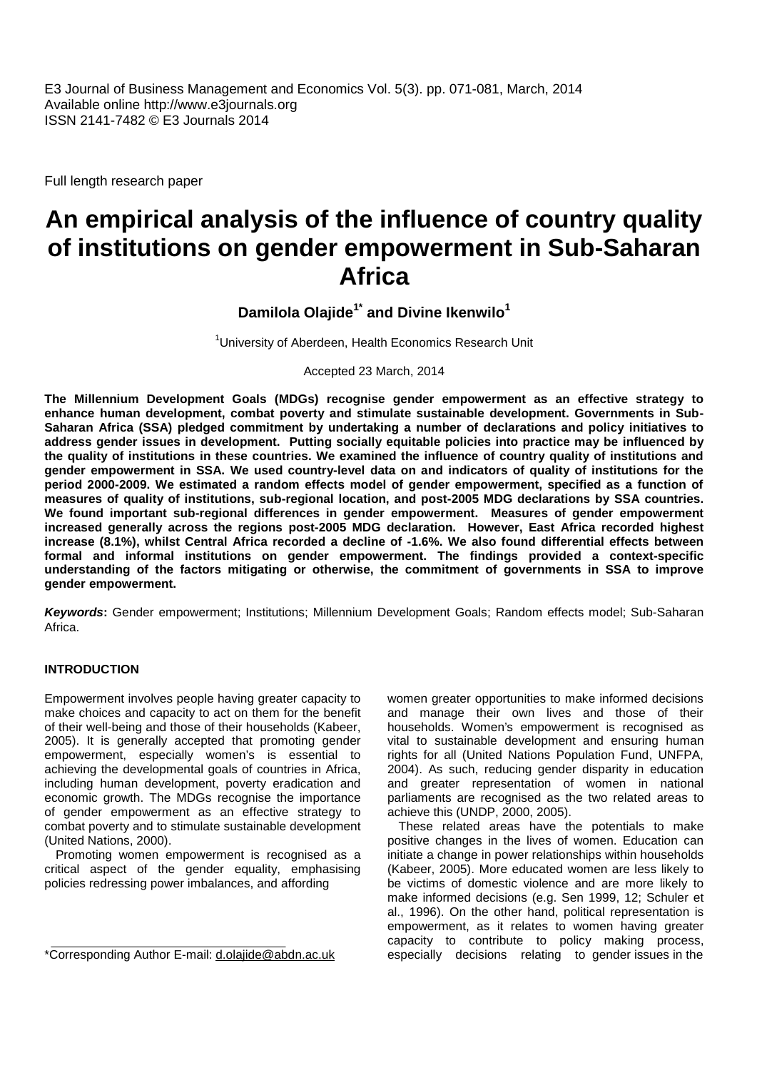E3 Journal of Business Management and Economics Vol. 5(3). pp. 071-081, March, 2014 Available online http://www.e3journals.org ISSN 2141-7482 © E3 Journals 2014

Full length research paper

# **An empirical analysis of the influence of country quality of institutions on gender empowerment in Sub-Saharan Africa**

**Damilola Olajide1\* and Divine Ikenwilo<sup>1</sup>**

<sup>1</sup> University of Aberdeen, Health Economics Research Unit

Accepted 23 March, 2014

**The Millennium Development Goals (MDGs) recognise gender empowerment as an effective strategy to enhance human development, combat poverty and stimulate sustainable development. Governments in Sub- Saharan Africa (SSA) pledged commitment by undertaking a number of declarations and policy initiatives to address gender issues in development. Putting socially equitable policies into practice may be influenced by the quality of institutions in these countries. We examined the influence of country quality of institutions and gender empowerment in SSA. We used country-level data on and indicators of quality of institutions for the period 2000-2009. We estimated a random effects model of gender empowerment, specified as a function of measures of quality of institutions, sub-regional location, and post-2005 MDG declarations by SSA countries. We found important sub-regional differences in gender empowerment. Measures of gender empowerment increased generally across the regions post-2005 MDG declaration. However, East Africa recorded highest increase (8.1%), whilst Central Africa recorded a decline of -1.6%. We also found differential effects between formal and informal institutions on gender empowerment. The findings provided a context-specific understanding of the factors mitigating or otherwise, the commitment of governments in SSA to improve gender empowerment.**

*Keywords***:** Gender empowerment; Institutions; Millennium Development Goals; Random effects model; Sub-Saharan Africa.

#### **INTRODUCTION**

Empowerment involves people having greater capacity to make choices and capacity to act on them for the benefit of their well-being and those of their households (Kabeer, 2005). It is generally accepted that promoting gender empowerment, especially women's is essential to achieving the developmental goals of countries in Africa, including human development, poverty eradication and economic growth. The MDGs recognise the importance of gender empowerment as an effective strategy to combat poverty and to stimulate sustainable development (United Nations, 2000).

Promoting women empowerment is recognised as a critical aspect of the gender equality, emphasising policies redressing power imbalances, and affording

women greater opportunities to make informed decisions and manage their own lives and those of their households. Women's empowerment is recognised as vital to sustainable development and ensuring human rights for all (United Nations Population Fund, UNFPA, 2004). As such, reducing gender disparity in education and greater representation of women in national parliaments are recognised as the two related areas to achieve this (UNDP, 2000, 2005).

These related areas have the potentials to make positive changes in the lives of women. Education can initiate a change in power relationships within households (Kabeer, 2005). More educated women are less likely to be victims of domestic violence and are more likely to make informed decisions (e.g. Sen 1999, 12; Schuler et al., 1996). On the other hand, political representation is empowerment, as it relates to women having greater capacity to contribute to policy making process, especially decisions relating to gender issues in the

<sup>\*</sup>Corresponding Author E-mail: d.olajide@abdn.ac.uk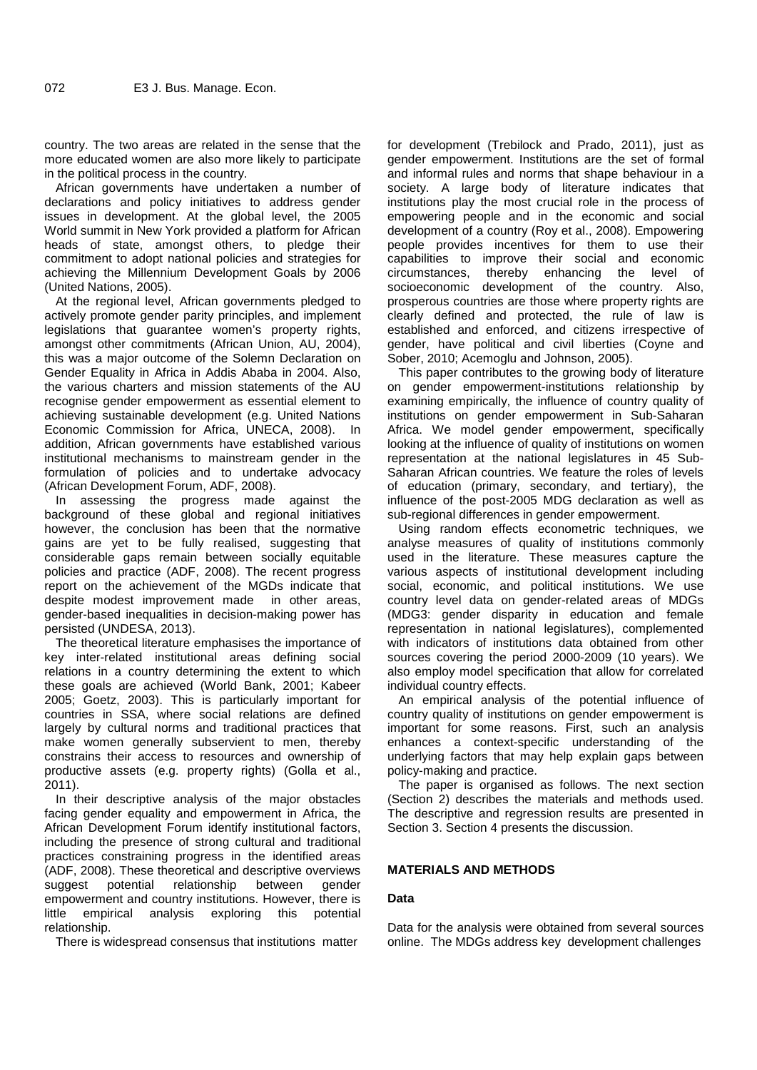country. The two areas are related in the sense that the more educated women are also more likely to participate in the political process in the country.

African governments have undertaken a number of declarations and policy initiatives to address gender issues in development. At the global level, the 2005 World summit in New York provided a platform for African heads of state, amongst others, to pledge their commitment to adopt national policies and strategies for achieving the Millennium Development Goals by 2006 (United Nations, 2005).

At the regional level, African governments pledged to actively promote gender parity principles, and implement legislations that guarantee women's property rights, amongst other commitments (African Union, AU, 2004), this was a major outcome of the Solemn Declaration on Gender Equality in Africa in Addis Ababa in 2004. Also, the various charters and mission statements of the AU recognise gender empowerment as essential element to achieving sustainable development (e.g. United Nations Economic Commission for Africa, UNECA, 2008). In addition, African governments have established various institutional mechanisms to mainstream gender in the formulation of policies and to undertake advocacy (African Development Forum, ADF, 2008).

In assessing the progress made against the background of these global and regional initiatives however, the conclusion has been that the normative gains are yet to be fully realised, suggesting that considerable gaps remain between socially equitable policies and practice (ADF, 2008). The recent progress report on the achievement of the MGDs indicate that despite modest improvement made in other areas, gender-based inequalities in decision-making power has persisted (UNDESA, 2013).

The theoretical literature emphasises the importance of key inter-related institutional areas defining social relations in a country determining the extent to which these goals are achieved (World Bank, 2001; Kabeer 2005; Goetz, 2003). This is particularly important for countries in SSA, where social relations are defined largely by cultural norms and traditional practices that make women generally subservient to men, thereby constrains their access to resources and ownership of productive assets (e.g. property rights) (Golla et al., 2011).

In their descriptive analysis of the major obstacles facing gender equality and empowerment in Africa, the African Development Forum identify institutional factors, including the presence of strong cultural and traditional practices constraining progress in the identified areas (ADF, 2008). These theoretical and descriptive overviews suggest potential relationship between gender empowerment and country institutions. However, there is little empirical analysis exploring this potential relationship.

There is widespread consensus that institutions matter

for development (Trebilock and Prado, 2011), just as gender empowerment. Institutions are the set of formal and informal rules and norms that shape behaviour in a society. A large body of literature indicates that institutions play the most crucial role in the process of empowering people and in the economic and social development of a country (Roy et al., 2008). Empowering people provides incentives for them to use their capabilities to improve their social and economic circumstances, thereby enhancing the level of socioeconomic development of the country. Also, prosperous countries are those where property rights are clearly defined and protected, the rule of law is established and enforced, and citizens irrespective of gender, have political and civil liberties (Coyne and Sober, 2010; Acemoglu and Johnson, 2005).

This paper contributes to the growing body of literature on gender empowerment-institutions relationship by examining empirically, the influence of country quality of institutions on gender empowerment in Sub-Saharan Africa. We model gender empowerment, specifically looking at the influence of quality of institutions on women representation at the national legislatures in 45 Sub- Saharan African countries. We feature the roles of levels of education (primary, secondary, and tertiary), the influence of the post-2005 MDG declaration as well as sub-regional differences in gender empowerment.

Using random effects econometric techniques, we analyse measures of quality of institutions commonly used in the literature. These measures capture the various aspects of institutional development including social, economic, and political institutions. We use country level data on gender-related areas of MDGs (MDG3: gender disparity in education and female representation in national legislatures), complemented with indicators of institutions data obtained from other sources covering the period 2000-2009 (10 years). We also employ model specification that allow for correlated individual country effects.

An empirical analysis of the potential influence of country quality of institutions on gender empowerment is important for some reasons. First, such an analysis enhances a context-specific understanding of the underlying factors that may help explain gaps between policy-making and practice.

The paper is organised as follows. The next section (Section 2) describes the materials and methods used. The descriptive and regression results are presented in Section 3. Section 4 presents the discussion.

# **MATERIALS AND METHODS**

# **Data**

Data for the analysis were obtained from several sources online. The MDGs address key development challenges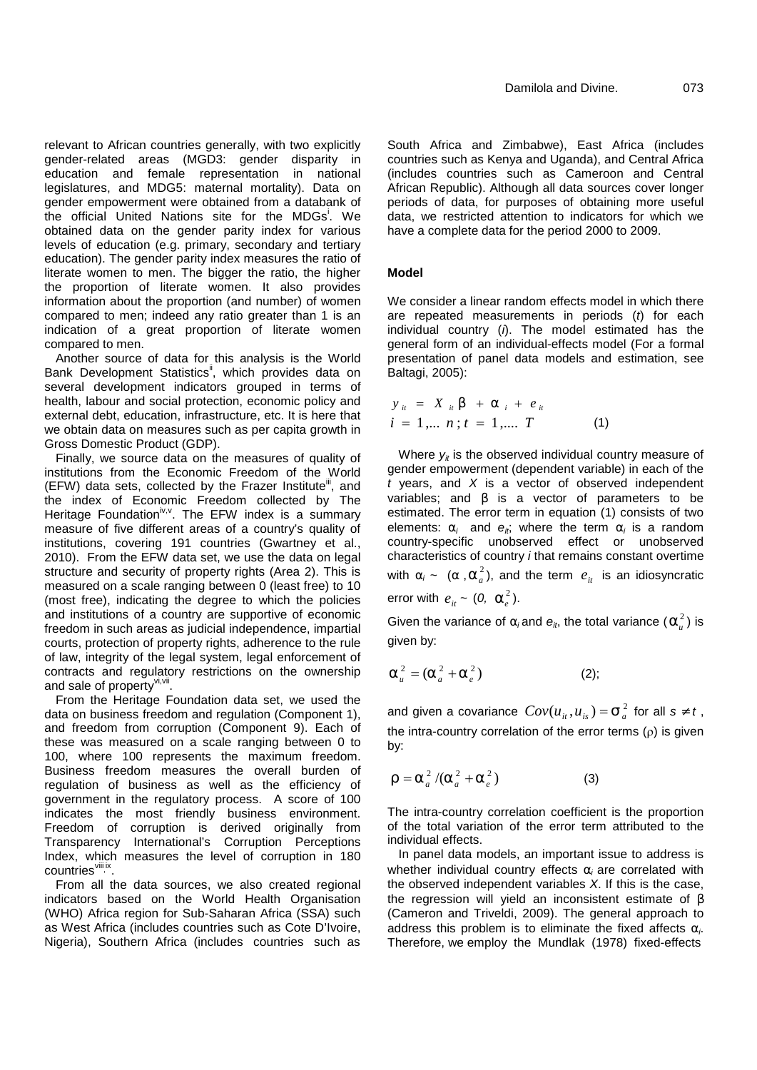relevant to African countries generally, with two explicitly gender-related areas (MGD3: gender disparity in education and female representation in national legislatures, and MDG5: maternal mortality). Data on gender empowerment were obtained from a databank of the official United Nations site for the MDGs<sup>i</sup>. We obtained data on the gender parity index for various levels of education (e.g. primary, secondary and tertiary education). The gender parity index measures the ratio of literate women to men. The bigger the ratio, the higher the proportion of literate women. It also provides information about the proportion (and number) of women compared to men; indeed any ratio greater than 1 is an indication of a great proportion of literate women compared to men.

Another source of data for this analysis is the World Bank Development Statistics<sup>ii</sup>, which provides data on several development indicators grouped in terms of health, labour and social protection, economic policy and external debt, education, infrastructure, etc. It is here that we obtain data on measures such as per capita growth in Gross Domestic Product (GDP).

Finally, we source data on the measures of quality of institutions from the Economic Freedom of the World  $(EFW)$  data sets, collected by the Frazer Institute<sup>iii</sup>, and the index of Economic Freedom collected by The Heritage Foundation<sup>iv, y</sup>. The EFW index is a summary esti measure of five different areas of a country's quality of institutions, covering 191 countries (Gwartney et al., 2010). From the EFW data set, we use the data on legal structure and security of property rights (Area 2). This is measured on a scale ranging between 0 (least free) to 10 (most free), indicating the degree to which the policies and institutions of a country are supportive of economic freedom in such areas as judicial independence, impartial courts, protection of property rights, adherence to the rule of law, integrity of the legal system, legal enforcement of contracts and regulatory restrictions on the ownership and sale of property<sup>vi, vii</sup>.

From the Heritage Foundation data set, we used the data on business freedom and regulation (Component 1), and freedom from corruption (Component 9). Each of these was measured on a scale ranging between 0 to 100, where 100 represents the maximum freedom. Business freedom measures the overall burden of regulation of business as well as the efficiency of government in the regulatory process. A score of 100 indicates the most friendly business environment. Freedom of corruption is derived originally from Transparency International's Corruption Perceptions Index, which measures the level of corruption in 180 countries vill ix.

From all the data sources, we also created regional indicators based on the World Health Organisation (WHO) Africa region for Sub-Saharan Africa (SSA) such as West Africa (includes countries such as Cote D'Ivoire, Nigeria), Southern Africa (includes countries such as

South Africa and Zimbabwe), East Africa (includes countries such as Kenya and Uganda), and Central Africa (includes countries such as Cameroon and Central African Republic). Although all data sources cover longer periods of data, for purposes of obtaining more useful data, we restricted attention to indicators for which we have a complete data for the period 2000 to 2009.

# **Model**

We consider a linear random effects model in which there are repeated measurements in periods (*t*) for each individual country (*i*). The model estimated has the general form of an individual-effects model (For a formal presentation of panel data models and estimation, see Baltagi, 2005):

$$
y_{ii} = X_{ii} S + \Gamma_{i} + e_{ii}
$$
  
\n $i = 1,... n; t = 1,... T$  (1)

Where  $y_i$  is the observed individual country measure of gender empowerment (dependent variable) in each of the *t* years, and *X* is a vector of observed independent variables; and s is a vector of parameters to be estimated. The error term in equation (1) consists of two elements:  $r_i$  and  $e_i$ ; where the term  $r_i$  is a random country-specific unobserved effect or unobserved characteristics of country *i* that remains constant overtime with  $r_i \sim (r, r_a^2)$ , and the term  $e_{it}$  is an idiosyncratic error with  $e_{it} \sim (0, r_e^2)$ .

Given the variance of  $r_i$  and  $e_{ik}$ , the total variance ( $r_u^2$ ) is given by:

$$
\Gamma_u^2 = (\Gamma_a^2 + \Gamma_e^2) \tag{2};
$$

and given a covariance  $Cov(u_{it}, u_{is}) = \dagger \frac{2}{a}$  for all *s* 0  $t$  , the intra-country correlation of the error terms  $(\rho)$  is given by:

$$
\dots = \Gamma_a^2 / (\Gamma_a^2 + \Gamma_e^2) \tag{3}
$$

The intra-country correlation coefficient is the proportion of the total variation of the error term attributed to the individual effects.

In panel data models, an important issue to address is whether individual country effects  $r_i$  are correlated with the observed independent variables *X*. If this is the case, the regression will yield an inconsistent estimate of (Cameron and Triveldi, 2009). The general approach to address this problem is to eliminate the fixed affects *i*. Therefore, we employ the Mundlak (1978) fixed-effects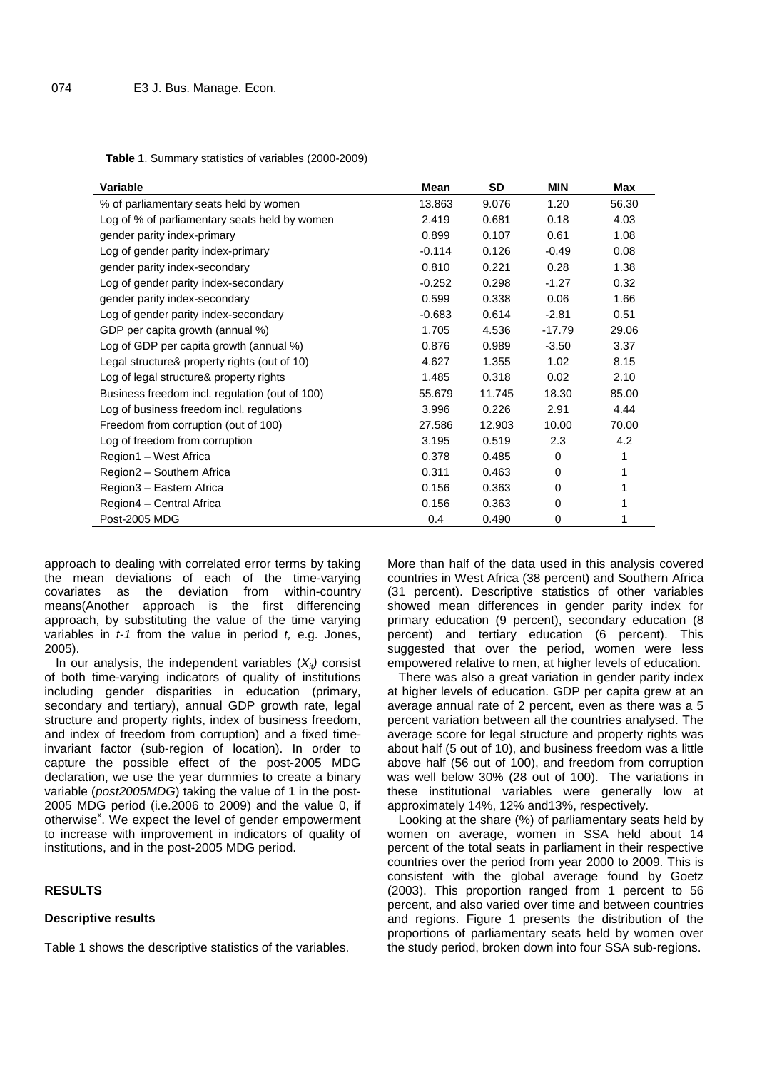**Table 1**. Summary statistics of variables (2000-2009)

| Variable                                       | Mean     | <b>SD</b> | <b>MIN</b> | Max   |
|------------------------------------------------|----------|-----------|------------|-------|
| % of parliamentary seats held by women         | 13.863   | 9.076     | 1.20       | 56.30 |
| Log of % of parliamentary seats held by women  | 2.419    | 0.681     | 0.18       | 4.03  |
| gender parity index-primary                    | 0.899    | 0.107     | 0.61       | 1.08  |
| Log of gender parity index-primary             | $-0.114$ | 0.126     | $-0.49$    | 0.08  |
| gender parity index-secondary                  | 0.810    | 0.221     | 0.28       | 1.38  |
| Log of gender parity index-secondary           | $-0.252$ | 0.298     | $-1.27$    | 0.32  |
| gender parity index-secondary                  | 0.599    | 0.338     | 0.06       | 1.66  |
| Log of gender parity index-secondary           | $-0.683$ | 0.614     | $-2.81$    | 0.51  |
| GDP per capita growth (annual %)               | 1.705    | 4.536     | $-17.79$   | 29.06 |
| Log of GDP per capita growth (annual %)        | 0.876    | 0.989     | $-3.50$    | 3.37  |
| Legal structure& property rights (out of 10)   | 4.627    | 1.355     | 1.02       | 8.15  |
| Log of legal structure& property rights        | 1.485    | 0.318     | 0.02       | 2.10  |
| Business freedom incl. regulation (out of 100) | 55.679   | 11.745    | 18.30      | 85.00 |
| Log of business freedom incl. regulations      | 3.996    | 0.226     | 2.91       | 4.44  |
| Freedom from corruption (out of 100)           | 27.586   | 12.903    | 10.00      | 70.00 |
| Log of freedom from corruption                 | 3.195    | 0.519     | 2.3        | 4.2   |
| Region1 - West Africa                          | 0.378    | 0.485     | $\Omega$   | 1     |
| Region2 - Southern Africa                      | 0.311    | 0.463     | 0          | 1     |
| Region3 - Eastern Africa                       | 0.156    | 0.363     | 0          |       |
| Region4 - Central Africa                       | 0.156    | 0.363     | 0          |       |
| Post-2005 MDG                                  | 0.4      | 0.490     | 0          | 1     |

approach to dealing with correlated error terms by taking the mean deviations of each of the time-varying covariates as the deviation from within-country means(Another approach is the first differencing approach, by substituting the value of the time varying variables in *t-1* from the value in period *t,* e.g. Jones, 2005).

In our analysis, the independent variables  $(X_{it})$  consist of both time-varying indicators of quality of institutions including gender disparities in education (primary, secondary and tertiary), annual GDP growth rate, legal structure and property rights, index of business freedom, and index of freedom from corruption) and a fixed timeinvariant factor (sub-region of location). In order to capture the possible effect of the post-2005 MDG declaration, we use the year dummies to create a binary variable (*post2005MDG*) taking the value of 1 in the post- 2005 MDG period (i.e.2006 to 2009) and the value 0, if otherwise<sup>x</sup>. We expect the level of gender empowerment to increase with improvement in indicators of quality of institutions, and in the post-2005 MDG period.

## **RESULTS**

#### **Descriptive results**

Table 1 shows the descriptive statistics of the variables.

More than half of the data used in this analysis covered countries in West Africa (38 percent) and Southern Africa (31 percent). Descriptive statistics of other variables showed mean differences in gender parity index for primary education (9 percent), secondary education (8 percent) and tertiary education (6 percent). This suggested that over the period, women were less empowered relative to men, at higher levels of education.

There was also a great variation in gender parity index at higher levels of education. GDP per capita grew at an average annual rate of 2 percent, even as there was a 5 percent variation between all the countries analysed. The average score for legal structure and property rights was about half (5 out of 10), and business freedom was a little above half (56 out of 100), and freedom from corruption was well below 30% (28 out of 100). The variations in these institutional variables were generally low at approximately 14%, 12% and13%, respectively.

Looking at the share (%) of parliamentary seats held by women on average, women in SSA held about 14 percent of the total seats in parliament in their respective countries over the period from year 2000 to 2009. This is consistent with the global average found by Goetz (2003). This proportion ranged from 1 percent to 56 percent, and also varied over time and between countries and regions. Figure 1 presents the distribution of the proportions of parliamentary seats held by women over the study period, broken down into four SSA sub-regions.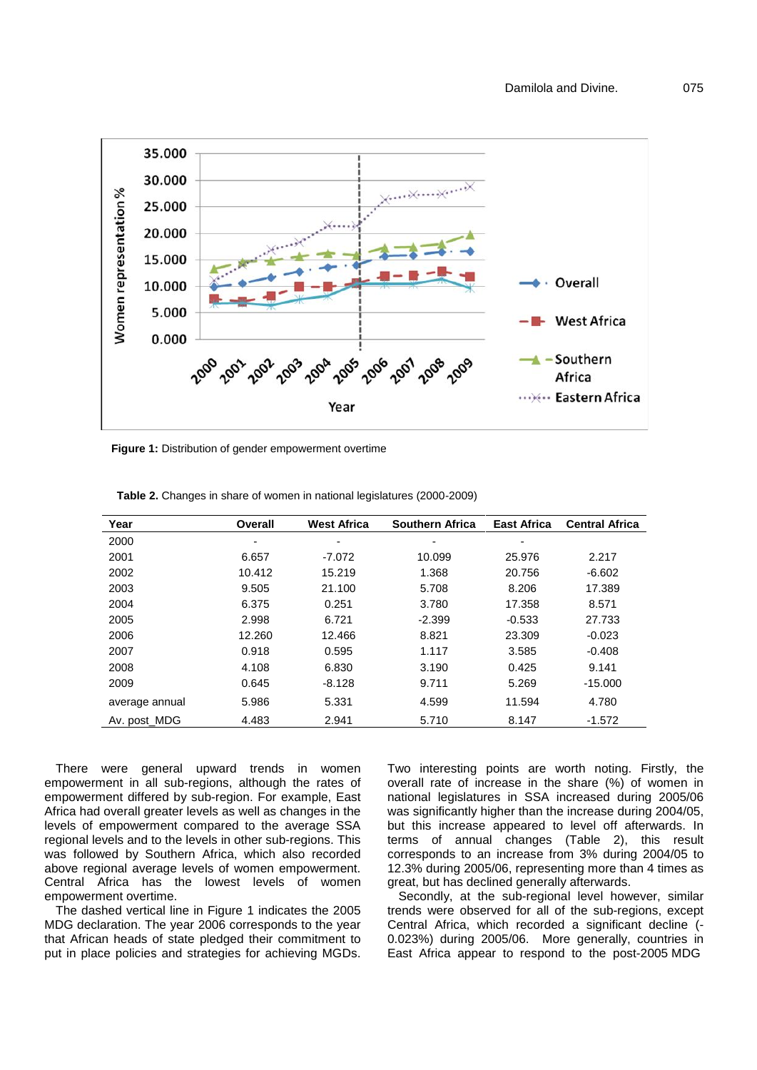

**Figure 1:** Distribution of gender empowerment overtime

| Year           | Overall | <b>West Africa</b> | <b>Southern Africa</b> | <b>East Africa</b> | <b>Central Africa</b> |
|----------------|---------|--------------------|------------------------|--------------------|-----------------------|
| 2000           |         | ٠                  | ٠                      | ۰                  |                       |
| 2001           | 6.657   | $-7.072$           | 10.099                 | 25.976             | 2.217                 |
| 2002           | 10.412  | 15.219             | 1.368                  | 20.756             | $-6.602$              |
| 2003           | 9.505   | 21.100             | 5.708                  | 8.206              | 17.389                |
| 2004           | 6.375   | 0.251              | 3.780                  | 17.358             | 8.571                 |
| 2005           | 2.998   | 6.721              | $-2.399$               | $-0.533$           | 27.733                |
| 2006           | 12.260  | 12.466             | 8.821                  | 23.309             | $-0.023$              |
| 2007           | 0.918   | 0.595              | 1.117                  | 3.585              | $-0.408$              |
| 2008           | 4.108   | 6.830              | 3.190                  | 0.425              | 9.141                 |
| 2009           | 0.645   | $-8.128$           | 9.711                  | 5.269              | $-15.000$             |
| average annual | 5.986   | 5.331              | 4.599                  | 11.594             | 4.780                 |
| Av. post MDG   | 4.483   | 2.941              | 5.710                  | 8.147              | $-1.572$              |

**Table 2.** Changes in share of women in national legislatures (2000-2009)

There were general upward trends in women empowerment in all sub-regions, although the rates of empowerment differed by sub-region. For example, East Africa had overall greater levels as well as changes in the levels of empowerment compared to the average SSA regional levels and to the levels in other sub-regions. This was followed by Southern Africa, which also recorded above regional average levels of women empowerment. Central Africa has the lowest levels of women empowerment overtime.

The dashed vertical line in Figure 1 indicates the 2005 MDG declaration. The year 2006 corresponds to the year that African heads of state pledged their commitment to put in place policies and strategies for achieving MGDs. Two interesting points are worth noting. Firstly, the overall rate of increase in the share (%) of women in national legislatures in SSA increased during 2005/06 was significantly higher than the increase during 2004/05, but this increase appeared to level off afterwards. In terms of annual changes (Table 2), this result corresponds to an increase from 3% during 2004/05 to 12.3% during 2005/06, representing more than 4 times as great, but has declined generally afterwards.

Secondly, at the sub-regional level however, similar trends were observed for all of the sub-regions, except Central Africa, which recorded a significant decline (- 0.023%) during 2005/06. More generally, countries in East Africa appear to respond to the post-2005 MDG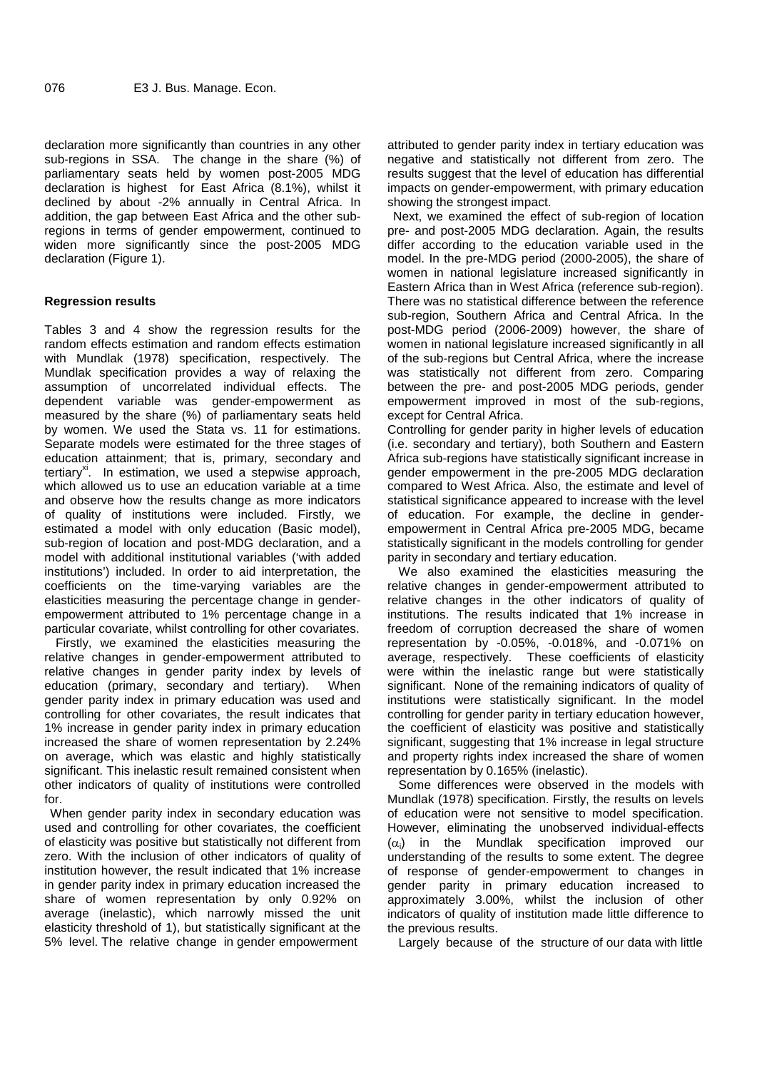declaration more significantly than countries in any other sub-regions in SSA. The change in the share (%) of parliamentary seats held by women post-2005 MDG declaration is highest for East Africa (8.1%), whilst it declined by about -2% annually in Central Africa. In addition, the gap between East Africa and the other subregions in terms of gender empowerment, continued to widen more significantly since the post-2005 MDG declaration (Figure 1).

# **Regression results**

Tables 3 and 4 show the regression results for the random effects estimation and random effects estimation with Mundlak (1978) specification, respectively. The Mundlak specification provides a way of relaxing the assumption of uncorrelated individual effects. The dependent variable was gender-empowerment as measured by the share (%) of parliamentary seats held by women. We used the Stata vs. 11 for estimations. Separate models were estimated for the three stages of education attainment; that is, primary, secondary and tertiary $x<sup>x<sub>i</sub></sup>$ . In estimation, we used a stepwise approach, which allowed us to use an education variable at a time and observe how the results change as more indicators of quality of institutions were included. Firstly, we estimated a model with only education (Basic model), sub-region of location and post-MDG declaration, and a model with additional institutional variables ('with added institutions') included. In order to aid interpretation, the coefficients on the time-varying variables are the elasticities measuring the percentage change in gender empowerment attributed to 1% percentage change in a particular covariate, whilst controlling for other covariates.

Firstly, we examined the elasticities measuring the relative changes in gender-empowerment attributed to relative changes in gender parity index by levels of education (primary, secondary and tertiary). When gender parity index in primary education was used and controlling for other covariates, the result indicates that 1% increase in gender parity index in primary education increased the share of women representation by 2.24% on average, which was elastic and highly statistically significant. This inelastic result remained consistent when other indicators of quality of institutions were controlled for.

When gender parity index in secondary education was used and controlling for other covariates, the coefficient of elasticity was positive but statistically not different from zero. With the inclusion of other indicators of quality of institution however, the result indicated that 1% increase in gender parity index in primary education increased the share of women representation by only 0.92% on average (inelastic), which narrowly missed the unit elasticity threshold of 1), but statistically significant at the 5% level. The relative change in gender empowerment

attributed to gender parity index in tertiary education was negative and statistically not different from zero. The results suggest that the level of education has differential impacts on gender-empowerment, with primary education showing the strongest impact.

Next, we examined the effect of sub-region of location pre- and post-2005 MDG declaration. Again, the results differ according to the education variable used in the model. In the pre-MDG period (2000-2005), the share of women in national legislature increased significantly in Eastern Africa than in West Africa (reference sub-region). There was no statistical difference between the reference sub-region, Southern Africa and Central Africa. In the post-MDG period (2006-2009) however, the share of women in national legislature increased significantly in all of the sub-regions but Central Africa, where the increase was statistically not different from zero. Comparing between the pre- and post-2005 MDG periods, gender empowerment improved in most of the sub-regions, except for Central Africa.

Controlling for gender parity in higher levels of education (i.e. secondary and tertiary), both Southern and Eastern Africa sub-regions have statistically significant increase in gender empowerment in the pre-2005 MDG declaration compared to West Africa. Also, the estimate and level of statistical significance appeared to increase with the level of education. For example, the decline in gender empowerment in Central Africa pre-2005 MDG, became statistically significant in the models controlling for gender parity in secondary and tertiary education.

We also examined the elasticities measuring the relative changes in gender-empowerment attributed to relative changes in the other indicators of quality of institutions. The results indicated that 1% increase in freedom of corruption decreased the share of women representation by -0.05%, -0.018%, and -0.071% on average, respectively. These coefficients of elasticity were within the inelastic range but were statistically significant. None of the remaining indicators of quality of institutions were statistically significant. In the model controlling for gender parity in tertiary education however, the coefficient of elasticity was positive and statistically significant, suggesting that 1% increase in legal structure and property rights index increased the share of women representation by 0.165% (inelastic).

Some differences were observed in the models with Mundlak (1978) specification. Firstly, the results on levels of education were not sensitive to model specification. However, eliminating the unobserved individual-effects  $(\alpha_i)$  in the Mundlak specification improved our understanding of the results to some extent. The degree of response of gender-empowerment to changes in gender parity in primary education increased to approximately 3.00%, whilst the inclusion of other indicators of quality of institution made little difference to the previous results.

Largely because of the structure of our data with little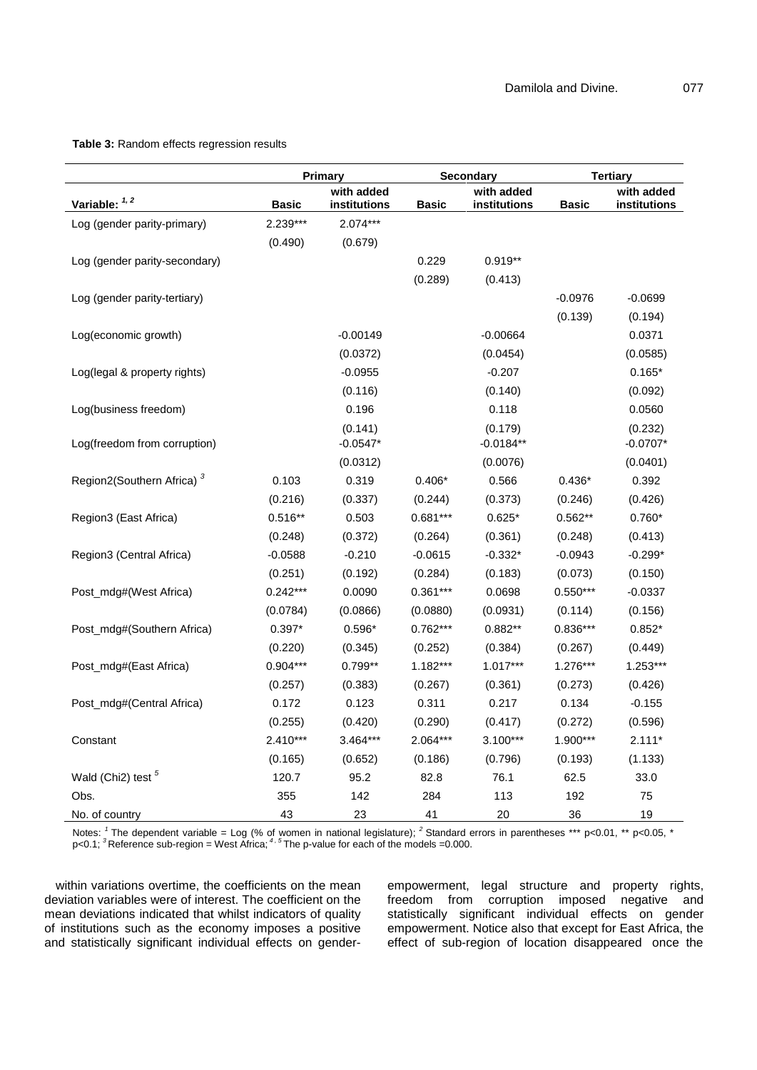|                                            | <b>Primary</b> |                            | Secondary    |                            | <b>Tertiary</b> |                            |
|--------------------------------------------|----------------|----------------------------|--------------|----------------------------|-----------------|----------------------------|
| Variable: 1, 2                             | <b>Basic</b>   | with added<br>institutions | <b>Basic</b> | with added<br>institutions | <b>Basic</b>    | with added<br>institutions |
| Log (gender parity-primary)                | 2.239***       | $2.074***$                 |              |                            |                 |                            |
|                                            | (0.490)        | (0.679)                    |              |                            |                 |                            |
| Log (gender parity-secondary)              |                |                            | 0.229        | $0.919**$                  |                 |                            |
|                                            |                |                            | (0.289)      | (0.413)                    |                 |                            |
| Log (gender parity-tertiary)               |                |                            |              |                            | $-0.0976$       | $-0.0699$                  |
|                                            |                |                            |              |                            | (0.139)         | (0.194)                    |
| Log(economic growth)                       |                | $-0.00149$                 |              | $-0.00664$                 |                 | 0.0371                     |
|                                            |                | (0.0372)                   |              | (0.0454)                   |                 | (0.0585)                   |
| Log(legal & property rights)               |                | $-0.0955$                  |              | $-0.207$                   |                 | $0.165*$                   |
|                                            |                | (0.116)                    |              | (0.140)                    |                 | (0.092)                    |
| Log(business freedom)                      |                | 0.196                      |              | 0.118                      |                 | 0.0560                     |
|                                            |                | (0.141)                    |              | (0.179)                    |                 | (0.232)                    |
| Log(freedom from corruption)               |                | $-0.0547*$                 |              | $-0.0184**$                |                 | $-0.0707*$                 |
|                                            |                | (0.0312)                   |              | (0.0076)                   |                 | (0.0401)                   |
| Region2(Southern Africa) <sup>3</sup>      | 0.103          | 0.319                      | $0.406*$     | 0.566                      | $0.436*$        | 0.392                      |
|                                            | (0.216)        | (0.337)                    | (0.244)      | (0.373)                    | (0.246)         | (0.426)                    |
| Region3 (East Africa)                      | $0.516**$      | 0.503                      | $0.681***$   | $0.625*$                   | 0.562**         | $0.760*$                   |
|                                            | (0.248)        | (0.372)                    | (0.264)      | (0.361)                    | (0.248)         | (0.413)                    |
| Region3 (Central Africa)                   | $-0.0588$      | $-0.210$                   | $-0.0615$    | $-0.332*$                  | $-0.0943$       | $-0.299*$                  |
|                                            | (0.251)        | (0.192)                    | (0.284)      | (0.183)                    | (0.073)         | (0.150)                    |
| Post_mdg#(West Africa)                     | $0.242***$     | 0.0090                     | $0.361***$   | 0.0698                     | $0.550***$      | $-0.0337$                  |
|                                            | (0.0784)       | (0.0866)                   | (0.0880)     | (0.0931)                   | (0.114)         | (0.156)                    |
| Post_mdg#(Southern Africa)                 | $0.397*$       | $0.596*$                   | 0.762***     | $0.882**$                  | 0.836***        | $0.852*$                   |
|                                            | (0.220)        | (0.345)                    | (0.252)      | (0.384)                    | (0.267)         | (0.449)                    |
| Post_mdg#(East Africa)                     | $0.904***$     | $0.799**$                  | 1.182***     | $1.017***$                 | 1.276***        | $1.253***$                 |
|                                            | (0.257)        | (0.383)                    | (0.267)      | (0.361)                    | (0.273)         | (0.426)                    |
| Post_mdg#(Central Africa)                  | 0.172          | 0.123                      | 0.311        | 0.217                      | 0.134           | $-0.155$                   |
|                                            | (0.255)        | (0.420)                    | (0.290)      | (0.417)                    | (0.272)         | (0.596)                    |
| Constant                                   | 2.410***       | 3.464***                   | 2.064***     | $3.100***$                 | 1.900***        | $2.111*$                   |
|                                            | (0.165)        | (0.652)                    | (0.186)      | (0.796)                    | (0.193)         | (1.133)                    |
| Wald (Chi <sub>2</sub> ) test <sup>5</sup> | 120.7          | 95.2                       | 82.8         | 76.1                       | 62.5            | 33.0                       |
| Obs.                                       | 355            | 142                        | 284          | 113                        | 192             | 75                         |
| No. of country                             | 43             | 23                         | 41           | 20                         | 36              | 19                         |

#### **Table 3:** Random effects regression results

Notes: <sup>1</sup> The dependent variable = Log (% of women in national legislature); <sup>2</sup> Standard errors in parentheses \*\*\* p<0.01, \*\* p<0.05, \* p<0.1; *<sup>3</sup>* Reference sub-region = West Africa; *4 , 5* The p-value for each of the models =0.000.

within variations overtime, the coefficients on the mean deviation variables were of interest. The coefficient on the mean deviations indicated that whilst indicators of quality of institutions such as the economy imposes a positive and statistically significant individual effects on genderempowerment, legal structure and property rights, freedom from corruption imposed negative and statistically significant individual effects on gender empowerment. Notice also that except for East Africa, the effect of sub-region of location disappeared once the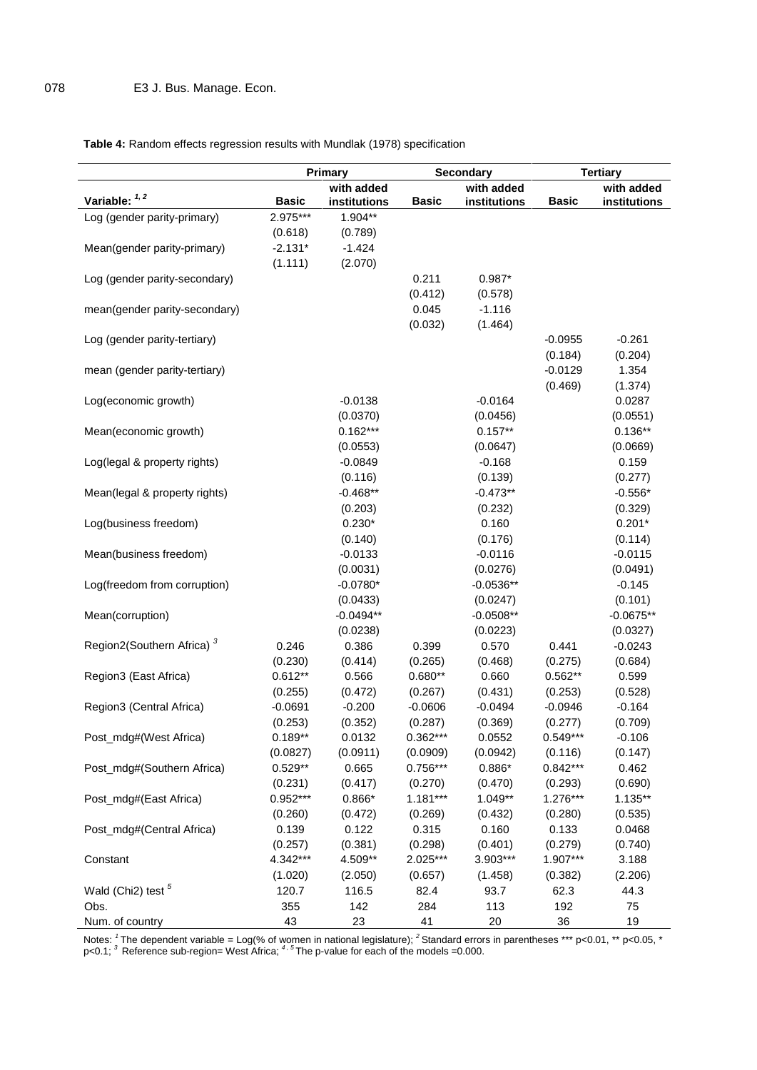# **Table 4:** Random effects regression results with Mundlak (1978) specification

|                                            | <b>Primary</b> |                            | <b>Secondary</b> |                            | <b>Tertiary</b> |                            |
|--------------------------------------------|----------------|----------------------------|------------------|----------------------------|-----------------|----------------------------|
| Variable: 1, 2                             | <b>Basic</b>   | with added<br>institutions | <b>Basic</b>     | with added<br>institutions | <b>Basic</b>    | with added<br>institutions |
| Log (gender parity-primary)                | 2.975***       | 1.904**                    |                  |                            |                 |                            |
|                                            | (0.618)        | (0.789)                    |                  |                            |                 |                            |
| Mean(gender parity-primary)                | $-2.131*$      | $-1.424$                   |                  |                            |                 |                            |
|                                            | (1.111)        | (2.070)                    |                  |                            |                 |                            |
| Log (gender parity-secondary)              |                |                            | 0.211            | $0.987*$                   |                 |                            |
|                                            |                |                            | (0.412)          | (0.578)                    |                 |                            |
| mean(gender parity-secondary)              |                |                            | 0.045            | $-1.116$                   |                 |                            |
|                                            |                |                            | (0.032)          | (1.464)                    |                 |                            |
| Log (gender parity-tertiary)               |                |                            |                  |                            | $-0.0955$       | $-0.261$                   |
|                                            |                |                            |                  |                            | (0.184)         | (0.204)                    |
| mean (gender parity-tertiary)              |                |                            |                  |                            | $-0.0129$       | 1.354                      |
|                                            |                |                            |                  |                            | (0.469)         | (1.374)                    |
|                                            |                | $-0.0138$                  |                  | $-0.0164$                  |                 | 0.0287                     |
| Log(economic growth)                       |                |                            |                  |                            |                 |                            |
|                                            |                | (0.0370)                   |                  | (0.0456)                   |                 | (0.0551)                   |
| Mean(economic growth)                      |                | $0.162***$                 |                  | $0.157**$                  |                 | $0.136**$                  |
|                                            |                | (0.0553)                   |                  | (0.0647)                   |                 | (0.0669)                   |
| Log(legal & property rights)               |                | $-0.0849$                  |                  | $-0.168$                   |                 | 0.159                      |
|                                            |                | (0.116)                    |                  | (0.139)                    |                 | (0.277)                    |
| Mean(legal & property rights)              |                | $-0.468**$                 |                  | $-0.473**$                 |                 | $-0.556*$                  |
|                                            |                | (0.203)                    |                  | (0.232)                    |                 | (0.329)                    |
| Log(business freedom)                      |                | $0.230*$                   |                  | 0.160                      |                 | $0.201*$                   |
|                                            |                | (0.140)                    |                  | (0.176)                    |                 | (0.114)                    |
| Mean(business freedom)                     |                | $-0.0133$                  |                  | $-0.0116$                  |                 | $-0.0115$                  |
|                                            |                | (0.0031)                   |                  | (0.0276)                   |                 | (0.0491)                   |
| Log(freedom from corruption)               |                | $-0.0780*$                 |                  | $-0.0536**$                |                 | $-0.145$                   |
|                                            |                | (0.0433)                   |                  | (0.0247)                   |                 | (0.101)                    |
| Mean(corruption)                           |                | $-0.0494**$                |                  | $-0.0508**$                |                 | $-0.0675**$                |
|                                            |                | (0.0238)                   |                  | (0.0223)                   |                 | (0.0327)                   |
| Region2(Southern Africa) <sup>3</sup>      | 0.246          | 0.386                      | 0.399            | 0.570                      | 0.441           | $-0.0243$                  |
|                                            | (0.230)        | (0.414)                    | (0.265)          | (0.468)                    | (0.275)         | (0.684)                    |
| Region3 (East Africa)                      | $0.612**$      | 0.566                      | $0.680**$        | 0.660                      | $0.562**$       | 0.599                      |
|                                            | (0.255)        | (0.472)                    | (0.267)          | (0.431)                    | (0.253)         | (0.528)                    |
| Region3 (Central Africa)                   | $-0.0691$      | $-0.200$                   | $-0.0606$        | $-0.0494$                  | $-0.0946$       | $-0.164$                   |
|                                            | (0.253)        | (0.352)                    | (0.287)          | (0.369)                    | (0.277)         | (0.709)                    |
| Post_mdg#(West Africa)                     | $0.189**$      | 0.0132                     | $0.362***$       | 0.0552                     | $0.549***$      | $-0.106$                   |
|                                            | (0.0827)       | (0.0911)                   | (0.0909)         | (0.0942)                   | (0.116)         | (0.147)                    |
| Post_mdg#(Southern Africa)                 | $0.529**$      | 0.665                      | $0.756***$       | $0.886*$                   | $0.842***$      | 0.462                      |
|                                            | (0.231)        | (0.417)                    | (0.270)          | (0.470)                    | (0.293)         | (0.690)                    |
|                                            | 0.952***       | $0.866*$                   | $1.181***$       | 1.049**                    | 1.276***        | $1.135***$                 |
| Post_mdg#(East Africa)                     |                |                            |                  |                            |                 |                            |
|                                            | (0.260)        | (0.472)                    | (0.269)          | (0.432)                    | (0.280)         | (0.535)                    |
| Post_mdg#(Central Africa)                  | 0.139          | 0.122                      | 0.315            | 0.160                      | 0.133           | 0.0468                     |
|                                            | (0.257)        | (0.381)                    | (0.298)          | (0.401)                    | (0.279)         | (0.740)                    |
| Constant                                   | 4.342***       | 4.509**                    | 2.025***         | 3.903***                   | 1.907***        | 3.188                      |
|                                            | (1.020)        | (2.050)                    | (0.657)          | (1.458)                    | (0.382)         | (2.206)                    |
| Wald (Chi <sub>2</sub> ) test <sup>5</sup> | 120.7          | 116.5                      | 82.4             | 93.7                       | 62.3            | 44.3                       |
| Obs.                                       | 355            | 142                        | 284              | 113                        | 192             | 75                         |
| Num. of country                            | 43             | 23                         | 41               | 20                         | 36              | 19                         |

Notes: *<sup>1</sup>* The dependent variable = Log(% of women in national legislature); *<sup>2</sup>* Standard errors in parentheses \*\*\* p<0.01, \*\* p<0.05, \* p<0.1; *<sup>3</sup>* Reference sub-region= West Africa; *<sup>4</sup> , 5* The p-value for each of the models =0.000.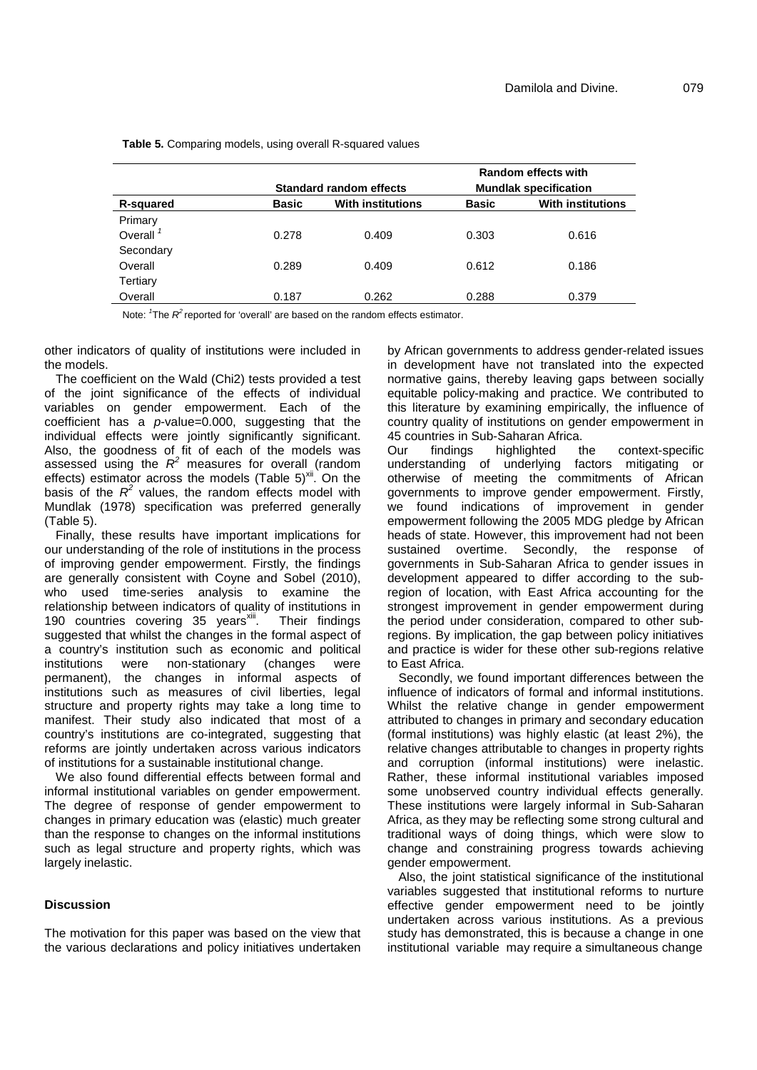|             | <b>Standard random effects</b> |                          | Random effects with<br><b>Mundlak specification</b> |                          |  |
|-------------|--------------------------------|--------------------------|-----------------------------------------------------|--------------------------|--|
| R-squared   | <b>Basic</b>                   | <b>With institutions</b> | <b>Basic</b>                                        | <b>With institutions</b> |  |
| Primary     |                                |                          |                                                     |                          |  |
| Overall $1$ | 0.278                          | 0.409                    | 0.303                                               | 0.616                    |  |
| Secondary   |                                |                          |                                                     |                          |  |
| Overall     | 0.289                          | 0.409                    | 0.612                                               | 0.186                    |  |
| Tertiary    |                                |                          |                                                     |                          |  |
| Overall     | 0.187                          | 0.262                    | 0.288                                               | 0.379                    |  |

**Table 5.** Comparing models, using overall R-squared values

Note: <sup>1</sup>The R<sup>2</sup> reported for 'overall' are based on the random effects estimator.

other indicators of quality of institutions were included in the models.

The coefficient on the Wald (Chi2) tests provided a test of the joint significance of the effects of individual variables on gender empowerment. Each of the coefficient has a *p*-value=0.000, suggesting that the individual effects were jointly significantly significant. 45 c<br>Also, the goodness of fit of each of the models was Our Also, the goodness of fit of each of the models was Our assessed using the  $R^2$  measures for overall (random cunderstain effects) estimator across the models (Table  $5)^{xii}$ . On the basis of the  $R^2$  values, the random effects model with gove Mundlak (1978) specification was preferred generally (Table 5).

Finally, these results have important implications for our understanding of the role of institutions in the process of improving gender empowerment. Firstly, the findings are generally consistent with Coyne and Sobel (2010), who used time-series analysis to examine the relationship between indicators of quality of institutions in 190 countries covering 35 years<sup>xiii</sup>. Their findings suggested that whilst the changes in the formal aspect of a country's institution such as economic and political were non-stationary (changes were permanent), the changes in informal aspects of institutions such as measures of civil liberties, legal structure and property rights may take a long time to manifest. Their study also indicated that most of a country's institutions are co-integrated, suggesting that reforms are jointly undertaken across various indicators of institutions for a sustainable institutional change.

We also found differential effects between formal and informal institutional variables on gender empowerment. The degree of response of gender empowerment to changes in primary education was (elastic) much greater than the response to changes on the informal institutions such as legal structure and property rights, which was largely inelastic.

#### **Discussion**

The motivation for this paper was based on the view that the various declarations and policy initiatives undertaken by African governments to address gender-related issues in development have not translated into the expected normative gains, thereby leaving gaps between socially equitable policy-making and practice. We contributed to this literature by examining empirically, the influence of country quality of institutions on gender empowerment in 45 countries in Sub-Saharan Africa.<br>Our findings highlighted t

the context-specific understanding of underlying factors mitigating or otherwise of meeting the commitments of African governments to improve gender empowerment. Firstly, we found indications of improvement in gender empowerment following the 2005 MDG pledge by African heads of state. However, this improvement had not been sustained overtime. Secondly, the response of governments in Sub-Saharan Africa to gender issues in development appeared to differ according to the subregion of location, with East Africa accounting for the strongest improvement in gender empowerment during the period under consideration, compared to other subregions. By implication, the gap between policy initiatives and practice is wider for these other sub-regions relative to East Africa.

Secondly, we found important differences between the influence of indicators of formal and informal institutions. Whilst the relative change in gender empowerment attributed to changes in primary and secondary education (formal institutions) was highly elastic (at least 2%), the relative changes attributable to changes in property rights and corruption (informal institutions) were inelastic. Rather, these informal institutional variables imposed some unobserved country individual effects generally. These institutions were largely informal in Sub-Saharan Africa, as they may be reflecting some strong cultural and traditional ways of doing things, which were slow to change and constraining progress towards achieving gender empowerment.

Also, the joint statistical significance of the institutional variables suggested that institutional reforms to nurture effective gender empowerment need to be jointly undertaken across various institutions. As a previous study has demonstrated, this is because a change in one institutional variable may require a simultaneous change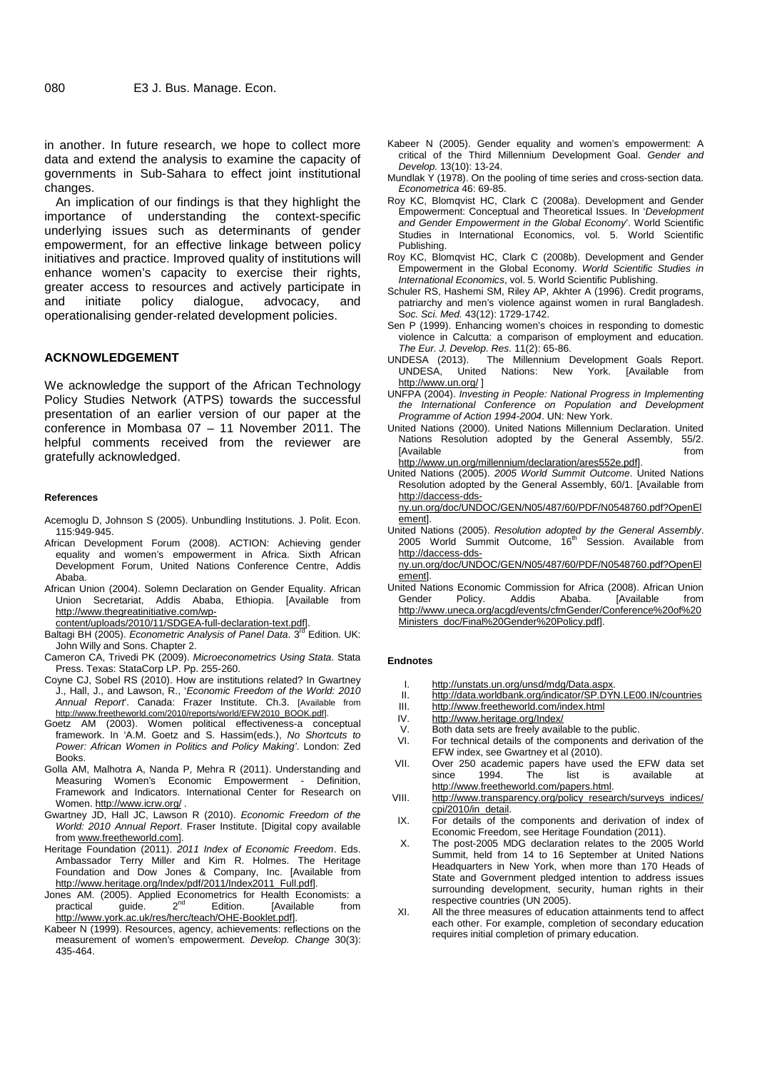in another. In future research, we hope to collect more data and extend the analysis to examine the capacity of governments in Sub-Sahara to effect joint institutional changes.

An implication of our findings is that they highlight the importance of understanding the context-specific underlying issues such as determinants of gender empowerment, for an effective linkage between policy initiatives and practice. Improved quality of institutions will enhance women's capacity to exercise their rights, greater access to resources and actively participate in<br>and initiate policy dialogue, advocacy, and and initiate policy dialogue, advocacy, and operationalising gender-related development policies.

## **ACKNOWLEDGEMENT**

We acknowledge the support of the African Technology Policy Studies Network (ATPS) towards the successful presentation of an earlier version of our paper at the conference in Mombasa 07 – 11 November 2011. The helpful comments received from the reviewer are Nations gratefully acknowledged.

#### **References**

- Acemoglu D, Johnson S (2005). Unbundling Institutions. J. Polit. Econ. 115:949-945.
- African Development Forum (2008). ACTION: Achieving gender equality and women's empowerment in Africa. Sixth African Development Forum, United Nations Conference Centre, Addis Ababa.
- African Union (2004). Solemn Declaration on Gender Equality. African Union Secretariat, Addis Ababa, Ethiopia. [Available from http://www.thegreatinitiative.com/wp-
- 
- content/uploads/2010/11/SDGEA-full-declaration-text.pdf]. Baltagi BH (2005). *Econometric Analysis of Panel Data*. 3rd Edition. UK: John Willy and Sons. Chapter 2.
- Cameron CA, Trivedi PK (2009). *Microeconometrics Using Stata*. Stata Press. Texas: StataCorp LP. Pp. 255-260.
- Coyne CJ, Sobel RS (2010). How are institutions related? In Gwartney J., Hall, J., and Lawson, R., '*Economic Freedom of the World: 2010 Annual Report*'. Canada: Frazer Institute. Ch.3. [Available from http://www.freetheworld.com/2010/reports/world/EFW2010\_BOOK.pdf].
- Goetz AM (2003). Women political effectiveness-a conceptual framework. In 'A.M. Goetz and S. Hassim(eds.), *No Shortcuts to Power: African Women in Politics and Policy Making'*. London: Zed **Books**
- Golla AM, Malhotra A, Nanda P, Mehra R (2011). Understanding and Measuring Women's Economic Empowerment - Definition, Framework and Indicators. International Center for Research on VIII. Women. http://www.icrw.org/ .
- Gwartney JD, Hall JC, Lawson R (2010). *Economic Freedom of the World: 2010 Annual Report*. Fraser Institute. [Digital copy available from www.freetheworld.com].
- Heritage Foundation (2011). *2011 Index of Economic Freedom*. Eds. Ambassador Terry Miller and Kim R. Holmes. The Heritage Foundation and Dow Jones & Company, Inc. [Available from http://www.heritage.org/Index/pdf/2011/Index2011\_Full.pdf].
- Jones AM. (2005). Applied Econometrics for Health Economists: a<br>practical guide. 2<sup>nd</sup> Edition. [Available from <sub>vi</sub> http://www.york.ac.uk/res/herc/teach/OHE-Booklet.pdf].
- Kabeer N (1999). Resources, agency, achievements: reflections on the measurement of women's empowerment. *Develop. Change* 30(3): 435-464.
- Kabeer N (2005). Gender equality and women's empowerment: A critical of the Third Millennium Development Goal. *Gender and Develop.* 13(10): 13-24.
- Mundlak Y (1978). On the pooling of time series and cross-section data. *Econometrica* 46: 69-85.
- Roy KC, Blomqvist HC, Clark C (2008a). Development and Gender Empowerment: Conceptual and Theoretical Issues. In '*Development and Gender Empowerment in the Global Economy*'. World Scientific Studies in International Economics, vol. 5. World Scientific Publishing.
- Roy KC, Blomqvist HC, Clark C (2008b). Development and Gender Empowerment in the Global Economy. *World Scientific Studies in International Economics*, vol. 5. World Scientific Publishing.
- Schuler RS, Hashemi SM, Riley AP, Akhter A (1996). Credit programs, patriarchy and men's violence against women in rural Bangladesh. S*oc. Sci. Med.* 43(12): 1729-1742.
- Sen P (1999). Enhancing women's choices in responding to domestic violence in Calcutta: a comparison of employment and education. *The Eur. J. Develop. Res.* 11(2): 65-86.
- UNDESA (2013). The Millennium Development Goals Report. UNDESA, United Nations: New http://www.un.org/ ]
- UNFPA (2004). *Investing in People: National Progress in Implementing the International Conference on Population and Development Programme of Action 1994-2004*. UN: New York.
- United Nations (2000). United Nations Millennium Declaration. United Nations Resolution adopted by the General Assembly, 55/2. [Available from the set of the set of the set of the set of the set of the set of the set of the set of the set of the set of the set of the set of the set of the set of the set of the set of the set of the set of the set

http://www.un.org/millennium/declaration/ares552e.pdf].

United Nations (2005). *2005 World Summit Outcome*. United Nations Resolution adopted by the General Assembly, 60/1. [Available from http://daccess-dds-

ny.un.org/doc/UNDOC/GEN/N05/487/60/PDF/N0548760.pdf?OpenEl ement].

United Nations (2005). *Resolution adopted by the General Assembly*. 2005 World Summit Outcome, 16<sup>th</sup> Session. Available from http://daccess-dds-

ny.un.org/doc/UNDOC/GEN/N05/487/60/PDF/N0548760.pdf?OpenEl ement].

United Nations Economic Commission for Africa (2008). African Union Gender Policy. Addis Ababa. [Available from http://www.uneca.org/acgd/events/cfmGender/Conference%20of%20 Ministers\_doc/Final%20Gender%20Policy.pdf].

#### **Endnotes**

- I. http://unstats.un.org/unsd/mdg/Data.aspx.<br>II. http://data.worldbank.org/indicator/SP.DYI
- II. http://data.worldbank.org/indicator/SP.DYN.LE00.IN/countries<br>III. http://www.freetheworld.com/index.html
- III. http://www.freetheworld.com/index.html<br>IV. http://www.heritage.org/Index/
- http://www.heritage.org/Index/
- Both data sets are freely available to the public.
- For technical details of the components and derivation of the EFW index, see Gwartney et al (2010).
- Over 250 academic papers have used the EFW data set<br>since 1994 The list is available at since 1994. The list is available at http://www.freetheworld.com/papers.html.
- http://www.transparency.org/policy\_research/surveys\_indices/ cpi/2010/in\_detail.
- For details of the components and derivation of index of Economic Freedom, see Heritage Foundation (2011).
- X. The post-2005 MDG declaration relates to the 2005 World Summit, held from 14 to 16 September at United Nations Headquarters in New York, when more than 170 Heads of State and Government pledged intention to address issues surrounding development, security, human rights in their respective countries (UN 2005).
- XI. All the three measures of education attainments tend to affect each other. For example, completion of secondary education requires initial completion of primary education.